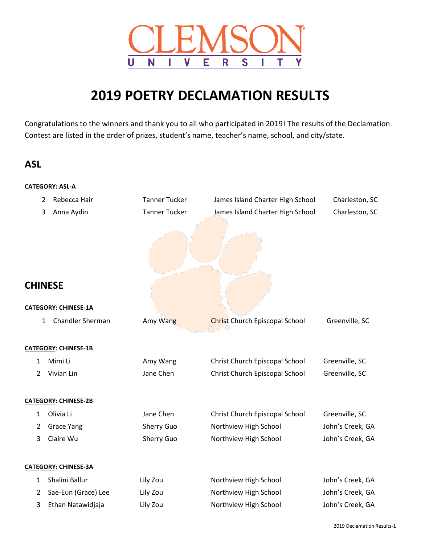

# **2019 POETRY DECLAMATION RESULTS**

Congratulations to the winners and thank you to all who participated in 2019! The results of the Declamation Contest are listed in the order of prizes, student's name, teacher's name, school, and city/state.

## **ASL**

**CATEGORY: ASL-A**

|                | 2 | Rebecca Hair                | <b>Tanner Tucker</b> | James Island Charter High School      | Charleston, SC   |
|----------------|---|-----------------------------|----------------------|---------------------------------------|------------------|
|                | 3 | Anna Aydin                  | <b>Tanner Tucker</b> | James Island Charter High School      | Charleston, SC   |
| <b>CHINESE</b> |   |                             |                      |                                       |                  |
|                |   |                             |                      |                                       |                  |
|                |   | <b>CATEGORY: CHINESE-1A</b> |                      |                                       |                  |
|                | 1 | Chandler Sherman            | Amy Wang             | <b>Christ Church Episcopal School</b> | Greenville, SC   |
|                |   |                             |                      |                                       |                  |
|                |   | <b>CATEGORY: CHINESE-1B</b> |                      |                                       |                  |
| 1              |   | Mimi Li                     | Amy Wang             | Christ Church Episcopal School        | Greenville, SC   |
| $\overline{2}$ |   | Vivian Lin                  | Jane Chen            | Christ Church Episcopal School        | Greenville, SC   |
|                |   | <b>CATEGORY: CHINESE-2B</b> |                      |                                       |                  |
|                |   | Olivia Li                   | Jane Chen            |                                       |                  |
| 1              |   |                             |                      | Christ Church Episcopal School        | Greenville, SC   |
| 2              |   | <b>Grace Yang</b>           | Sherry Guo           | Northview High School                 | John's Creek, GA |
| 3              |   | Claire Wu                   | Sherry Guo           | Northview High School                 | John's Creek, GA |
|                |   | <b>CATEGORY: CHINESE-3A</b> |                      |                                       |                  |
| 1              |   | Shalini Ballur              | Lily Zou             | Northview High School                 | John's Creek, GA |
| 2              |   | Sae-Eun (Grace) Lee         | Lily Zou             | Northview High School                 | John's Creek, GA |
| 3              |   | Ethan Natawidjaja           | Lily Zou             | Northview High School                 | John's Creek, GA |
|                |   |                             |                      |                                       |                  |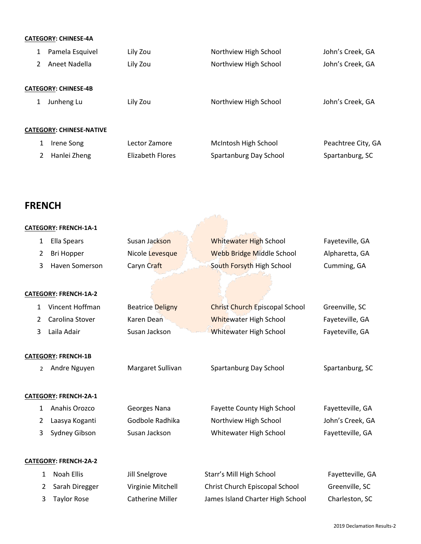## **CATEGORY: CHINESE-4A**

| $\mathbf{1}$                    | Pamela Esquivel | Lily Zou         | Northview High School  | John's Creek, GA   |  |  |
|---------------------------------|-----------------|------------------|------------------------|--------------------|--|--|
| 2                               | Aneet Nadella   | Lily Zou         | Northview High School  | John's Creek, GA   |  |  |
| <b>CATEGORY: CHINESE-4B</b>     |                 |                  |                        |                    |  |  |
|                                 | Junheng Lu      | Lily Zou         | Northview High School  | John's Creek, GA   |  |  |
| <b>CATEGORY: CHINESE-NATIVE</b> |                 |                  |                        |                    |  |  |
| 1                               | Irene Song      | Lector Zamore    | McIntosh High School   | Peachtree City, GA |  |  |
| 2                               | Hanlei Zheng    | Elizabeth Flores | Spartanburg Day School | Spartanburg, SC    |  |  |
|                                 |                 |                  |                        |                    |  |  |

## **FRENCH**

|                | <b>CATEGORY: FRENCH-1A-1</b> |                         |                                       |                  |
|----------------|------------------------------|-------------------------|---------------------------------------|------------------|
| 1              | <b>Ella Spears</b>           | Susan Jackson           | <b>Whitewater High School</b>         | Fayeteville, GA  |
| $\overline{2}$ | <b>Bri Hopper</b>            | Nicole Levesque         | <b>Webb Bridge Middle School</b>      | Alpharetta, GA   |
| 3              | Haven Somerson               | Caryn Craft             | South Forsyth High School             | Cumming, GA      |
|                |                              |                         |                                       |                  |
|                | CATEGORY: FRENCH-1A-2        |                         |                                       |                  |
| $\mathbf{1}$   | Vincent Hoffman              | <b>Beatrice Deligny</b> | <b>Christ Church Episcopal School</b> | Greenville, SC   |
| 2              | Carolina Stover              | Karen Dean              | Whitewater High School                | Fayeteville, GA  |
| 3              | Laila Adair                  | Susan Jackson           | <b>Whitewater High School</b>         | Fayeteville, GA  |
|                |                              |                         |                                       |                  |
|                | <b>CATEGORY: FRENCH-1B</b>   |                         |                                       |                  |
| $\overline{2}$ | Andre Nguyen                 | Margaret Sullivan       | Spartanburg Day School                | Spartanburg, SC  |
|                |                              |                         |                                       |                  |
|                | CATEGORY: FRENCH-2A-1        |                         |                                       |                  |
| $\mathbf{1}$   | Anahis Orozco                | Georges Nana            | Fayette County High School            | Fayetteville, GA |
| 2              | Laasya Koganti               | Godbole Radhika         | Northview High School                 | John's Creek, GA |
| 3              | Sydney Gibson                | Susan Jackson           | Whitewater High School                | Fayetteville, GA |
|                |                              |                         |                                       |                  |
|                | <b>CATEGORY: FRENCH-2A-2</b> |                         |                                       |                  |
| 1              | <b>Noah Ellis</b>            | Jill Snelgrove          | Starr's Mill High School              | Fayetteville, GA |
| $\overline{2}$ | Sarah Diregger               | Virginie Mitchell       | Christ Church Episcopal School        | Greenville, SC   |
| 3              | <b>Taylor Rose</b>           | <b>Catherine Miller</b> | James Island Charter High School      | Charleston, SC   |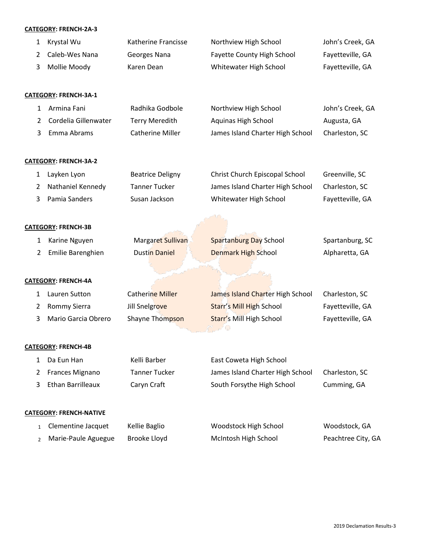## **CATEGORY: FRENCH-2A-3**

|                | CATEGORY: FRENCH-2A-3          |                         |                                   |                    |
|----------------|--------------------------------|-------------------------|-----------------------------------|--------------------|
| 1              | Krystal Wu                     | Katherine Francisse     | Northview High School             | John's Creek, GA   |
| 2              | Caleb-Wes Nana                 | Georges Nana            | <b>Fayette County High School</b> | Fayetteville, GA   |
| 3              | Mollie Moody                   | Karen Dean              | Whitewater High School            | Fayetteville, GA   |
|                | <b>CATEGORY: FRENCH-3A-1</b>   |                         |                                   |                    |
| 1              | Armina Fani                    | Radhika Godbole         | Northview High School             | John's Creek, GA   |
| 2              | Cordelia Gillenwater           | <b>Terry Meredith</b>   | <b>Aquinas High School</b>        | Augusta, GA        |
| 3              | Emma Abrams                    | <b>Catherine Miller</b> | James Island Charter High School  | Charleston, SC     |
|                | <b>CATEGORY: FRENCH-3A-2</b>   |                         |                                   |                    |
| 1              | Layken Lyon                    | <b>Beatrice Deligny</b> | Christ Church Episcopal School    | Greenville, SC     |
| 2              | Nathaniel Kennedy              | <b>Tanner Tucker</b>    | James Island Charter High School  | Charleston, SC     |
| 3              | Pamia Sanders                  | Susan Jackson           | Whitewater High School            | Fayetteville, GA   |
|                | <b>CATEGORY: FRENCH-3B</b>     |                         |                                   |                    |
| 1              | Karine Nguyen                  | Margaret Sullivan       | <b>Spartanburg Day School</b>     | Spartanburg, SC    |
| 2              | Emilie Barenghien              | <b>Dustin Daniel</b>    | <b>Denmark High School</b>        | Alpharetta, GA     |
|                |                                |                         |                                   |                    |
|                | <b>CATEGORY: FRENCH-4A</b>     |                         |                                   |                    |
| 1              | Lauren Sutton                  | <b>Catherine Miller</b> | James Island Charter High School  | Charleston, SC     |
| 2              | Rommy Sierra                   | Jill Snelgrove          | <b>Starr's Mill High School</b>   | Fayetteville, GA   |
| 3              | Mario Garcia Obrero            | Shayne Thompson         | Starr's Mill High School          | Fayetteville, GA   |
|                | <b>CATEGORY: FRENCH-4B</b>     |                         |                                   |                    |
| 1              | Da Eun Han                     | Kelli Barber            | East Coweta High School           |                    |
| 2              | Frances Mignano                | <b>Tanner Tucker</b>    | James Island Charter High School  | Charleston, SC     |
| 3              | <b>Ethan Barrilleaux</b>       | Caryn Craft             | South Forsythe High School        | Cumming, GA        |
|                | <b>CATEGORY: FRENCH-NATIVE</b> |                         |                                   |                    |
| $\mathbf{1}$   | Clementine Jacquet             | Kellie Baglio           | Woodstock High School             | Woodstock, GA      |
| $\overline{2}$ | Marie-Paule Aguegue            | Brooke Lloyd            | McIntosh High School              | Peachtree City, GA |
|                |                                |                         |                                   |                    |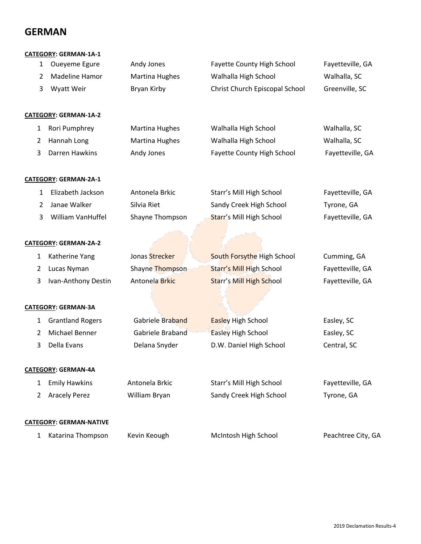## **GERMAN**

### **CATEGORY: GERMAN-1A-1**

| 1            | Oueyeme Egure                  | Andy Jones            | Fayette County High School      | Fayetteville, GA   |
|--------------|--------------------------------|-----------------------|---------------------------------|--------------------|
| 2            | Madeline Hamor                 | <b>Martina Hughes</b> | Walhalla High School            | Walhalla, SC       |
| 3            | Wyatt Weir                     | Bryan Kirby           | Christ Church Episcopal School  | Greenville, SC     |
|              | CATEGORY: GERMAN-1A-2          |                       |                                 |                    |
| $\mathbf{1}$ | Rori Pumphrey                  | <b>Martina Hughes</b> | Walhalla High School            | Walhalla, SC       |
| 2            | Hannah Long                    | <b>Martina Hughes</b> | Walhalla High School            | Walhalla, SC       |
| 3            | Darren Hawkins                 | Andy Jones            | Fayette County High School      | Fayetteville, GA   |
|              | CATEGORY: GERMAN-2A-1          |                       |                                 |                    |
| 1            | Elizabeth Jackson              | Antonela Brkic        | Starr's Mill High School        | Fayetteville, GA   |
| 2            | Janae Walker                   | Silvia Riet           | Sandy Creek High School         | Tyrone, GA         |
| 3            | William VanHuffel              | Shayne Thompson       | Starr's Mill High School        | Fayetteville, GA   |
|              | CATEGORY: GERMAN-2A-2          |                       |                                 |                    |
| 1            | Katherine Yang                 | Jonas Strecker        | South Forsythe High School      | Cumming, GA        |
| 2            | Lucas Nyman                    | Shayne Thompson       | <b>Starr's Mill High School</b> | Fayetteville, GA   |
| 3            | Ivan-Anthony Destin            | Antonela Brkic        | Starr's Mill High School        | Fayetteville, GA   |
|              |                                |                       |                                 |                    |
|              | <b>CATEGORY: GERMAN-3A</b>     |                       |                                 |                    |
| $\mathbf{1}$ | <b>Grantland Rogers</b>        | Gabriele Braband      | <b>Easley High School</b>       | Easley, SC         |
| 2            | Michael Benner                 | Gabriele Braband      | <b>Easley High School</b>       | Easley, SC         |
| 3            | Della Evans                    | Delana Snyder         | D.W. Daniel High School         | Central, SC        |
|              | CATEGORY: GERMAN-4A            |                       |                                 |                    |
| 1            | <b>Emily Hawkins</b>           | Antonela Brkic        | Starr's Mill High School        | Fayetteville, GA   |
| 2            | <b>Aracely Perez</b>           | William Bryan         | Sandy Creek High School         | Tyrone, GA         |
|              | <b>CATEGORY: GERMAN-NATIVE</b> |                       |                                 |                    |
| 1            | Katarina Thompson              | Kevin Keough          | McIntosh High School            | Peachtree City, GA |
|              |                                |                       |                                 |                    |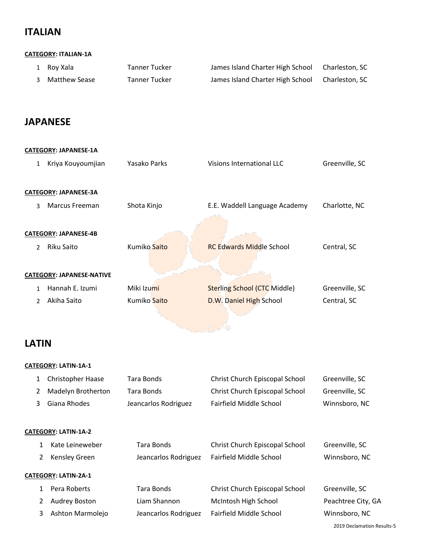## **ITALIAN**

## **CATEGORY: ITALIAN-1A**

| 1 Roy Xala      | Tanner Tucker | James Island Charter High School | Charleston, SC |
|-----------------|---------------|----------------------------------|----------------|
| 3 Matthew Sease | Tanner Tucker | James Island Charter High School | Charleston, SC |

## **JAPANESE**

| <b>CATEGORY: JAPANESE-1A</b> |                                  |              |                                     |                |  |
|------------------------------|----------------------------------|--------------|-------------------------------------|----------------|--|
| $\mathbf{1}$                 | Kriya Kouyoumjian                | Yasako Parks | Visions International LLC           | Greenville, SC |  |
|                              | <b>CATEGORY: JAPANESE-3A</b>     |              |                                     |                |  |
| 3                            | Marcus Freeman                   | Shota Kinjo  | E.E. Waddell Language Academy       | Charlotte, NC  |  |
|                              |                                  |              |                                     |                |  |
|                              | <b>CATEGORY: JAPANESE-4B</b>     |              |                                     |                |  |
| $\mathcal{P}$                | Riku Saito                       | Kumiko Saito | <b>RC Edwards Middle School</b>     | Central, SC    |  |
|                              |                                  |              |                                     |                |  |
|                              | <b>CATEGORY: JAPANESE-NATIVE</b> |              |                                     |                |  |
| 1                            | Hannah E. Izumi                  | Miki Izumi   | <b>Sterling School (CTC Middle)</b> | Greenville, SC |  |
| $\mathcal{P}$                | Akiha Saito                      | Kumiko Saito | D.W. Daniel High School             | Central, SC    |  |
|                              |                                  |              |                                     |                |  |

## **LATIN**

## **CATEGORY: LATIN-1A-1**

|                             | 1              | <b>Christopher Haase</b> | Tara Bonds           | Christ Church Episcopal School | Greenville, SC     |  |
|-----------------------------|----------------|--------------------------|----------------------|--------------------------------|--------------------|--|
|                             | $\overline{2}$ | Madelyn Brotherton       | Tara Bonds           | Christ Church Episcopal School | Greenville, SC     |  |
|                             | 3              | Giana Rhodes             | Jeancarlos Rodriguez | Fairfield Middle School        | Winnsboro, NC      |  |
|                             |                |                          |                      |                                |                    |  |
| <b>CATEGORY: LATIN-1A-2</b> |                |                          |                      |                                |                    |  |
|                             | $\mathbf{1}$   | Kate Leineweber          | Tara Bonds           | Christ Church Episcopal School | Greenville, SC     |  |
|                             | $\overline{2}$ | Kensley Green            | Jeancarlos Rodriguez | Fairfield Middle School        | Winnsboro, NC      |  |
| <b>CATEGORY: LATIN-2A-1</b> |                |                          |                      |                                |                    |  |
|                             | $\mathbf{1}$   | Pera Roberts             | Tara Bonds           | Christ Church Episcopal School | Greenville, SC     |  |
|                             | $\overline{2}$ | Audrey Boston            | Liam Shannon         | McIntosh High School           | Peachtree City, GA |  |
|                             | 3              | Ashton Marmolejo         | Jeancarlos Rodriguez | Fairfield Middle School        | Winnsboro, NC      |  |
|                             |                |                          |                      |                                |                    |  |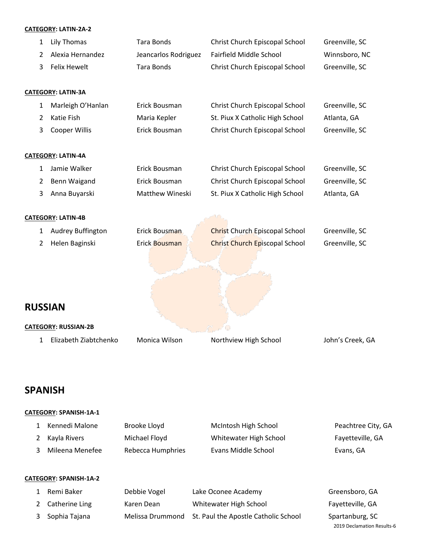## **CATEGORY: LATIN-2A-2**

| 1 | <b>Lily Thomas</b>          | <b>Tara Bonds</b>    | Christ Church Episcopal School        | Greenville, SC   |
|---|-----------------------------|----------------------|---------------------------------------|------------------|
| 2 | Alexia Hernandez            | Jeancarlos Rodriguez | <b>Fairfield Middle School</b>        | Winnsboro, NC    |
| 3 | <b>Felix Hewelt</b>         | <b>Tara Bonds</b>    | Christ Church Episcopal School        | Greenville, SC   |
|   |                             |                      |                                       |                  |
|   | <b>CATEGORY: LATIN-3A</b>   |                      |                                       |                  |
| 1 | Marleigh O'Hanlan           | Erick Bousman        | Christ Church Episcopal School        | Greenville, SC   |
| 2 | Katie Fish                  | Maria Kepler         | St. Piux X Catholic High School       | Atlanta, GA      |
| 3 | Cooper Willis               | Erick Bousman        | Christ Church Episcopal School        | Greenville, SC   |
|   |                             |                      |                                       |                  |
|   | CATEGORY: LATIN-4A          |                      |                                       |                  |
| 1 | Jamie Walker                | Erick Bousman        | Christ Church Episcopal School        | Greenville, SC   |
| 2 | Benn Waigand                | Erick Bousman        | Christ Church Episcopal School        | Greenville, SC   |
| 3 | Anna Buyarski               | Matthew Wineski      | St. Piux X Catholic High School       | Atlanta, GA      |
|   | <b>CATEGORY: LATIN-4B</b>   |                      |                                       |                  |
|   |                             |                      |                                       |                  |
| 1 | Audrey Buffington           | Erick Bousman        | <b>Christ Church Episcopal School</b> | Greenville, SC   |
| 2 | Helen Baginski              | Erick Bousman        | <b>Christ Church Episcopal School</b> | Greenville, SC   |
|   |                             |                      |                                       |                  |
|   |                             |                      |                                       |                  |
|   |                             |                      |                                       |                  |
|   | <b>RUSSIAN</b>              |                      |                                       |                  |
|   | <b>CATEGORY: RUSSIAN-2B</b> |                      |                                       |                  |
| 1 | Elizabeth Ziabtchenko       | Monica Wilson        | Northview High School                 | John's Creek, GA |
|   |                             |                      |                                       |                  |

## **SPANISH**

## **CATEGORY: SPANISH-1A-1**

| Kennedi Malone  | Brooke Lloyd      | McIntosh High School   | Peachtree City, GA |
|-----------------|-------------------|------------------------|--------------------|
| Kayla Rivers    | Michael Floyd     | Whitewater High School | Fayetteville, GA   |
| Mileena Menefee | Rebecca Humphries | Evans Middle School    | Evans, GA          |
|                 |                   |                        |                    |

## **CATEGORY: SPANISH-1A-2**

| Remi Baker       | Debbie Vogel | Lake Oconee Academy                                   | Greensboro, GA             |
|------------------|--------------|-------------------------------------------------------|----------------------------|
| 2 Catherine Ling | Karen Dean   | Whitewater High School                                | Fayetteville, GA           |
| 3 Sophia Tajana  |              | Melissa Drummond St. Paul the Apostle Catholic School | Spartanburg, SC            |
|                  |              |                                                       | 2019 Declamation Results-6 |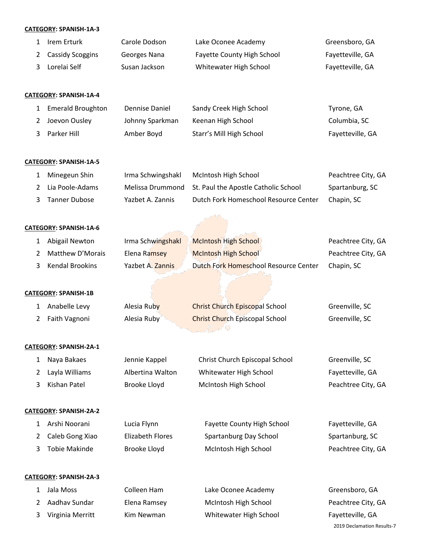### **CATEGORY: SPANISH-1A-3**

| 1 Irem Erturk      | Carole Dodson | Lake Oconee Academy               | Greensboro, GA   |
|--------------------|---------------|-----------------------------------|------------------|
| 2 Cassidy Scoggins | Georges Nana  | <b>Fayette County High School</b> | Fayetteville, GA |
| 3 Lorelai Self     | Susan Jackson | Whitewater High School            | Fayetteville, GA |

### **CATEGORY: SPANISH-1A-4**

| 1 Emerald Broughton | Dennise Daniel  | Sandy Creek High School  | Tyrone, GA       |
|---------------------|-----------------|--------------------------|------------------|
| Joevon Ousley       | Johnny Sparkman | Keenan High School       | Columbia, SC     |
| 3 Parker Hill       | Amber Boyd      | Starr's Mill High School | Fayetteville, GA |

### **CATEGORY: SPANISH-1A-5**

| 1 Minegeun Shin | Irma Schwingshakl | McIntosh High School                                  | Peachtree City, GA |
|-----------------|-------------------|-------------------------------------------------------|--------------------|
| Lia Poole-Adams |                   | Melissa Drummond St. Paul the Apostle Catholic School | Spartanburg, SC    |
| 3 Tanner Dubose | Yazbet A. Zannis  | Dutch Fork Homeschool Resource Center                 | Chapin, SC         |

#### **CATEGORY: SPANISH-1A-6**

| 1 Abigail Newton  | Irma Schwingshakl | <b>McIntosh High School</b>           | Peachtree City, GA |
|-------------------|-------------------|---------------------------------------|--------------------|
| Matthew D'Morais  | Elena Ramsey      | <b>McIntosh High School</b>           | Peachtree City, GA |
| 3 Kendal Brookins | Yazbet A. Zannis  | Dutch Fork Homeschool Resource Center | Chapin, SC         |

### **CATEGORY: SPANISH-1B**

| Anabelle Levy   | Alesia Ruby | <b>Christ Church Episcopal School</b> | Greenville, SC |
|-----------------|-------------|---------------------------------------|----------------|
| 2 Faith Vagnoni | Alesia Ruby | <b>Christ Church Episcopal School</b> | Greenville, SC |

#### **CATEGORY: SPANISH-2A-1**

| Nava Bakaes      | Jennie Kappel    | Christ Church Episcopal School | Greenville, SC     |
|------------------|------------------|--------------------------------|--------------------|
| 2 Lavla Williams | Albertina Walton | Whitewater High School         | Fayetteville, GA   |
| 3 Kishan Patel   | Brooke Lloyd     | McIntosh High School           | Peachtree City, GA |

#### **CATEGORY: SPANISH-2A-2**

| 1 Arshi Noorani   | Lucia Flynn      | <b>Fayette County High School</b> | Fayetteville, GA   |
|-------------------|------------------|-----------------------------------|--------------------|
| 2 Caleb Gong Xiao | Elizabeth Flores | Spartanburg Day School            | Spartanburg, SC    |
| 3 Tobie Makinde   | Brooke Lloyd     | McIntosh High School              | Peachtree City, GA |

#### **CATEGORY: SPANISH-2A-3**

|   | Jala Moss        | Colleen Ham  | Lake Oconee Academy    | Greensboro, GA             |
|---|------------------|--------------|------------------------|----------------------------|
|   | 2 Aadhay Sundar  | Elena Ramsey | McIntosh High School   | Peachtree City, GA         |
| 3 | Virginia Merritt | Kim Newman   | Whitewater High School | Fayetteville, GA           |
|   |                  |              |                        | 2019 Declamation Results-7 |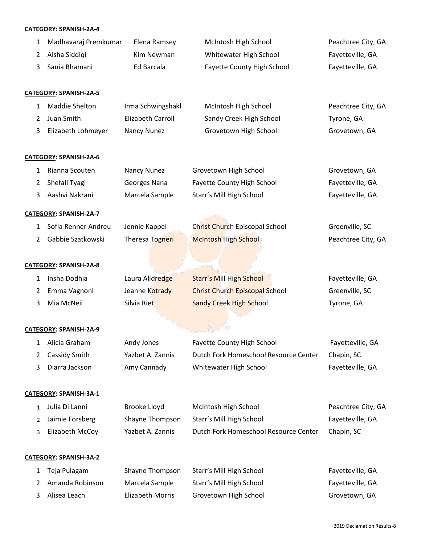### **CATEGORY: SPANISH-2A-4**

| 1            | Madhavaraj Premkumar          | Elena Ramsey             | McIntosh High School                  | Peachtree City, GA |
|--------------|-------------------------------|--------------------------|---------------------------------------|--------------------|
| 2            | Aisha Siddiqi                 | Kim Newman               | Whitewater High School                | Fayetteville, GA   |
| 3            | Sania Bhamani                 | Ed Barcala               | Fayette County High School            | Fayetteville, GA   |
|              |                               |                          |                                       |                    |
|              | CATEGORY: SPANISH-2A-5        |                          |                                       |                    |
| 1            | Maddie Shelton                | Irma Schwingshakl        | McIntosh High School                  | Peachtree City, GA |
| 2            | Juan Smith                    | <b>Elizabeth Carroll</b> | Sandy Creek High School               | Tyrone, GA         |
| 3            | Elizabeth Lohmeyer            | <b>Nancy Nunez</b>       | Grovetown High School                 | Grovetown, GA      |
|              | CATEGORY: SPANISH-2A-6        |                          |                                       |                    |
| 1            | Rianna Scouten                | <b>Nancy Nunez</b>       | Grovetown High School                 | Grovetown, GA      |
| 2            | Shefali Tyagi                 | Georges Nana             | Fayette County High School            | Fayetteville, GA   |
| 3            | Aashvi Nakrani                | Marcela Sample           | Starr's Mill High School              | Fayetteville, GA   |
|              | CATEGORY: SPANISH-2A-7        |                          |                                       |                    |
| $\mathbf{1}$ | Sofia Renner Andreu           | Jennie Kappel            | Christ Church Episcopal School        | Greenville, SC     |
| 2            | Gabbie Szatkowski             | Theresa Togneri          | <b>McIntosh High School</b>           | Peachtree City, GA |
|              |                               |                          |                                       |                    |
|              | CATEGORY: SPANISH-2A-8        |                          |                                       |                    |
| 1            | Insha Dodhia                  | Laura Alldredge          | <b>Starr's Mill High School</b>       | Fayetteville, GA   |
| 2            | Emma Vagnoni                  | Jeanne Kotrady           | <b>Christ Church Episcopal School</b> | Greenville, SC     |
| 3            | Mia McNeil                    | Silvia Riet              | <b>Sandy Creek High School</b>        | Tyrone, GA         |
|              |                               |                          |                                       |                    |
|              | CATEGORY: SPANISH-2A-9        |                          |                                       |                    |
|              | 1 Alicia Graham               | Andy Jones               | Fayette County High School            | Fayetteville, GA   |
| 2            | Cassidy Smith                 | Yazbet A. Zannis         | Dutch Fork Homeschool Resource Center | Chapin, SC         |
| 3            | Diarra Jackson                | Amy Cannady              | Whitewater High School                | Fayetteville, GA   |
|              | CATEGORY: SPANISH-3A-1        |                          |                                       |                    |
| $\mathbf{1}$ | Julia Di Lanni                | Brooke Lloyd             | McIntosh High School                  | Peachtree City, GA |
| 2            | Jaimie Forsberg               | Shayne Thompson          | Starr's Mill High School              | Fayetteville, GA   |
| 3            | Elizabeth McCoy               | Yazbet A. Zannis         | Dutch Fork Homeschool Resource Center | Chapin, SC         |
|              |                               |                          |                                       |                    |
|              | <b>CATEGORY: SPANISH-3A-2</b> |                          |                                       |                    |
| 1            | Teja Pulagam                  | Shayne Thompson          | Starr's Mill High School              | Fayetteville, GA   |
| 2            | Amanda Robinson               | Marcela Sample           | Starr's Mill High School              | Fayetteville, GA   |
| 3            | Alisea Leach                  | <b>Elizabeth Morris</b>  | Grovetown High School                 | Grovetown, GA      |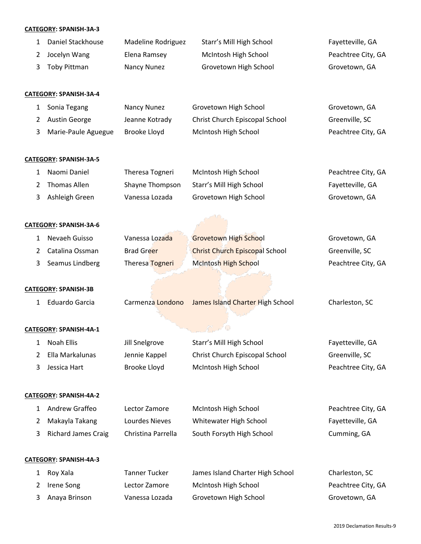## **CATEGORY: SPANISH-3A-3**

|              | CATEGORY: SPANISH-3A-3        |                           |                                       |                    |
|--------------|-------------------------------|---------------------------|---------------------------------------|--------------------|
| $\mathbf{1}$ | Daniel Stackhouse             | <b>Madeline Rodriguez</b> | Starr's Mill High School              | Fayetteville, GA   |
| 2            | Jocelyn Wang                  | Elena Ramsey              | McIntosh High School                  | Peachtree City, GA |
| 3            | <b>Toby Pittman</b>           | Nancy Nunez               | Grovetown High School                 | Grovetown, GA      |
|              | <b>CATEGORY: SPANISH-3A-4</b> |                           |                                       |                    |
| 1            | Sonia Tegang                  | Nancy Nunez               | Grovetown High School                 | Grovetown, GA      |
| 2            | Austin George                 | Jeanne Kotrady            | Christ Church Episcopal School        | Greenville, SC     |
| 3            | Marie-Paule Aguegue           | Brooke Lloyd              | McIntosh High School                  | Peachtree City, GA |
|              | CATEGORY: SPANISH-3A-5        |                           |                                       |                    |
| $\mathbf{1}$ | Naomi Daniel                  | Theresa Togneri           | McIntosh High School                  | Peachtree City, GA |
| 2            | <b>Thomas Allen</b>           | Shayne Thompson           | Starr's Mill High School              | Fayetteville, GA   |
| 3            | Ashleigh Green                | Vanessa Lozada            | Grovetown High School                 | Grovetown, GA      |
|              | CATEGORY: SPANISH-3A-6        |                           |                                       |                    |
| 1            | Nevaeh Guisso                 | Vanessa Lozada            | <b>Grovetown High School</b>          | Grovetown, GA      |
| 2            | Catalina Ossman               | <b>Brad Greer</b>         | <b>Christ Church Episcopal School</b> | Greenville, SC     |
| 3            | Seamus Lindberg               | Theresa Togneri           | McIntosh High School                  | Peachtree City, GA |
|              |                               |                           |                                       |                    |
|              | <b>CATEGORY: SPANISH-3B</b>   |                           |                                       |                    |
| $\mathbf{1}$ | <b>Eduardo Garcia</b>         | Carmenza Londono          | James Island Charter High School      | Charleston, SC     |
|              |                               |                           |                                       |                    |
|              | CATEGORY: SPANISH-4A-1        |                           |                                       |                    |
| 1            | Noah Ellis                    | Jill Snelgrove            | Starr's Mill High School              | Fayetteville, GA   |
| 2            | Ella Markalunas               | Jennie Kappel             | Christ Church Episcopal School        | Greenville, SC     |
| 3            | Jessica Hart                  | Brooke Lloyd              | McIntosh High School                  | Peachtree City, GA |
|              | <b>CATEGORY: SPANISH-4A-2</b> |                           |                                       |                    |
| 1            | Andrew Graffeo                | Lector Zamore             | McIntosh High School                  | Peachtree City, GA |
| 2            | Makayla Takang                | Lourdes Nieves            | Whitewater High School                | Fayetteville, GA   |
| 3            | <b>Richard James Craig</b>    | Christina Parrella        | South Forsyth High School             | Cumming, GA        |
|              | CATEGORY: SPANISH-4A-3        |                           |                                       |                    |
| 1            | Roy Xala                      | <b>Tanner Tucker</b>      | James Island Charter High School      | Charleston, SC     |
| 2            | Irene Song                    | Lector Zamore             | McIntosh High School                  | Peachtree City, GA |
| 3            | Anaya Brinson                 | Vanessa Lozada            | Grovetown High School                 | Grovetown, GA      |